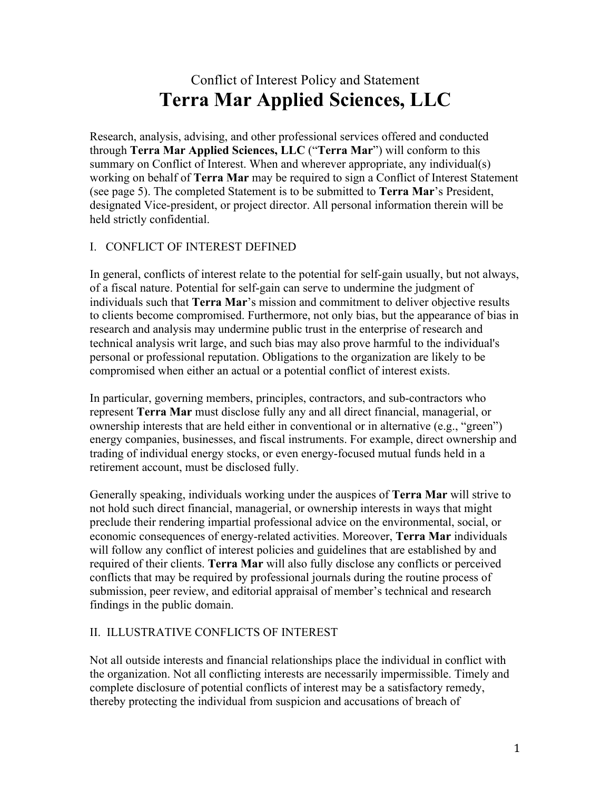# Conflict of Interest Policy and Statement **Terra Mar Applied Sciences, LLC**

Research, analysis, advising, and other professional services offered and conducted through **Terra Mar Applied Sciences, LLC** ("**Terra Mar**") will conform to this summary on Conflict of Interest. When and wherever appropriate, any individual(s) working on behalf of **Terra Mar** may be required to sign a Conflict of Interest Statement (see page 5). The completed Statement is to be submitted to **Terra Mar**'s President, designated Vice-president, or project director. All personal information therein will be held strictly confidential.

### I. CONFLICT OF INTEREST DEFINED

In general, conflicts of interest relate to the potential for self-gain usually, but not always, of a fiscal nature. Potential for self-gain can serve to undermine the judgment of individuals such that **Terra Mar**'s mission and commitment to deliver objective results to clients become compromised. Furthermore, not only bias, but the appearance of bias in research and analysis may undermine public trust in the enterprise of research and technical analysis writ large, and such bias may also prove harmful to the individual's personal or professional reputation. Obligations to the organization are likely to be compromised when either an actual or a potential conflict of interest exists.

In particular, governing members, principles, contractors, and sub-contractors who represent **Terra Mar** must disclose fully any and all direct financial, managerial, or ownership interests that are held either in conventional or in alternative (e.g., "green") energy companies, businesses, and fiscal instruments. For example, direct ownership and trading of individual energy stocks, or even energy-focused mutual funds held in a retirement account, must be disclosed fully.

Generally speaking, individuals working under the auspices of **Terra Mar** will strive to not hold such direct financial, managerial, or ownership interests in ways that might preclude their rendering impartial professional advice on the environmental, social, or economic consequences of energy-related activities. Moreover, **Terra Mar** individuals will follow any conflict of interest policies and guidelines that are established by and required of their clients. **Terra Mar** will also fully disclose any conflicts or perceived conflicts that may be required by professional journals during the routine process of submission, peer review, and editorial appraisal of member's technical and research findings in the public domain.

### II. ILLUSTRATIVE CONFLICTS OF INTEREST

Not all outside interests and financial relationships place the individual in conflict with the organization. Not all conflicting interests are necessarily impermissible. Timely and complete disclosure of potential conflicts of interest may be a satisfactory remedy, thereby protecting the individual from suspicion and accusations of breach of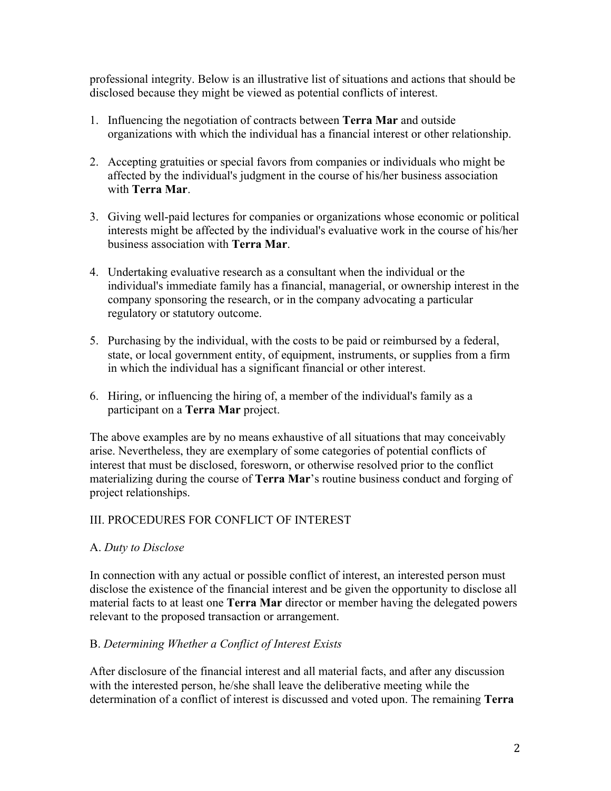professional integrity. Below is an illustrative list of situations and actions that should be disclosed because they might be viewed as potential conflicts of interest.

- 1. Influencing the negotiation of contracts between **Terra Mar** and outside organizations with which the individual has a financial interest or other relationship.
- 2. Accepting gratuities or special favors from companies or individuals who might be affected by the individual's judgment in the course of his/her business association with **Terra Mar**.
- 3. Giving well-paid lectures for companies or organizations whose economic or political interests might be affected by the individual's evaluative work in the course of his/her business association with **Terra Mar**.
- 4. Undertaking evaluative research as a consultant when the individual or the individual's immediate family has a financial, managerial, or ownership interest in the company sponsoring the research, or in the company advocating a particular regulatory or statutory outcome.
- 5. Purchasing by the individual, with the costs to be paid or reimbursed by a federal, state, or local government entity, of equipment, instruments, or supplies from a firm in which the individual has a significant financial or other interest.
- 6. Hiring, or influencing the hiring of, a member of the individual's family as a participant on a **Terra Mar** project.

The above examples are by no means exhaustive of all situations that may conceivably arise. Nevertheless, they are exemplary of some categories of potential conflicts of interest that must be disclosed, foresworn, or otherwise resolved prior to the conflict materializing during the course of **Terra Mar**'s routine business conduct and forging of project relationships.

### III. PROCEDURES FOR CONFLICT OF INTEREST

### A. *Duty to Disclose*

In connection with any actual or possible conflict of interest, an interested person must disclose the existence of the financial interest and be given the opportunity to disclose all material facts to at least one **Terra Mar** director or member having the delegated powers relevant to the proposed transaction or arrangement.

### B. *Determining Whether a Conflict of Interest Exists*

After disclosure of the financial interest and all material facts, and after any discussion with the interested person, he/she shall leave the deliberative meeting while the determination of a conflict of interest is discussed and voted upon. The remaining **Terra**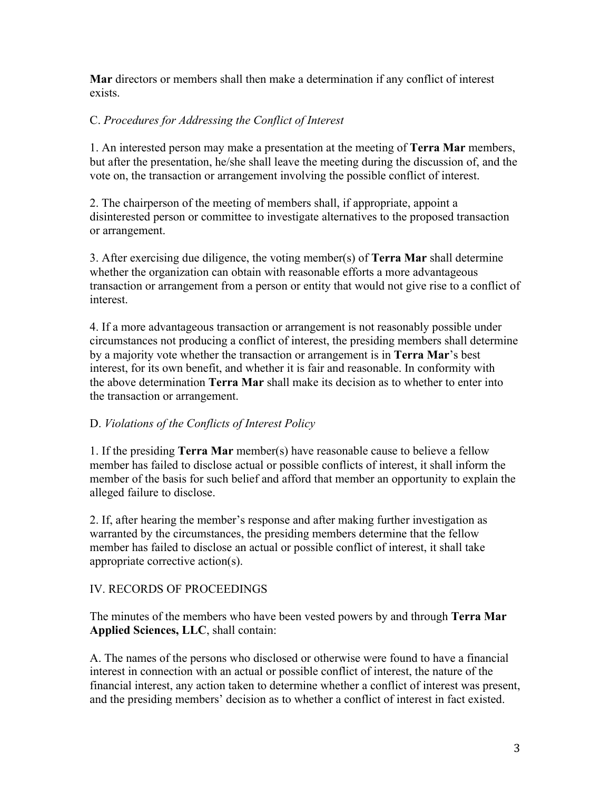**Mar** directors or members shall then make a determination if any conflict of interest exists.

## C. *Procedures for Addressing the Conflict of Interest*

1. An interested person may make a presentation at the meeting of **Terra Mar** members, but after the presentation, he/she shall leave the meeting during the discussion of, and the vote on, the transaction or arrangement involving the possible conflict of interest.

2. The chairperson of the meeting of members shall, if appropriate, appoint a disinterested person or committee to investigate alternatives to the proposed transaction or arrangement.

3. After exercising due diligence, the voting member(s) of **Terra Mar** shall determine whether the organization can obtain with reasonable efforts a more advantageous transaction or arrangement from a person or entity that would not give rise to a conflict of interest.

4. If a more advantageous transaction or arrangement is not reasonably possible under circumstances not producing a conflict of interest, the presiding members shall determine by a majority vote whether the transaction or arrangement is in **Terra Mar**'s best interest, for its own benefit, and whether it is fair and reasonable. In conformity with the above determination **Terra Mar** shall make its decision as to whether to enter into the transaction or arrangement.

### D. *Violations of the Conflicts of Interest Policy*

1. If the presiding **Terra Mar** member(s) have reasonable cause to believe a fellow member has failed to disclose actual or possible conflicts of interest, it shall inform the member of the basis for such belief and afford that member an opportunity to explain the alleged failure to disclose.

2. If, after hearing the member's response and after making further investigation as warranted by the circumstances, the presiding members determine that the fellow member has failed to disclose an actual or possible conflict of interest, it shall take appropriate corrective action(s).

### IV. RECORDS OF PROCEEDINGS

The minutes of the members who have been vested powers by and through **Terra Mar Applied Sciences, LLC**, shall contain:

A. The names of the persons who disclosed or otherwise were found to have a financial interest in connection with an actual or possible conflict of interest, the nature of the financial interest, any action taken to determine whether a conflict of interest was present, and the presiding members' decision as to whether a conflict of interest in fact existed.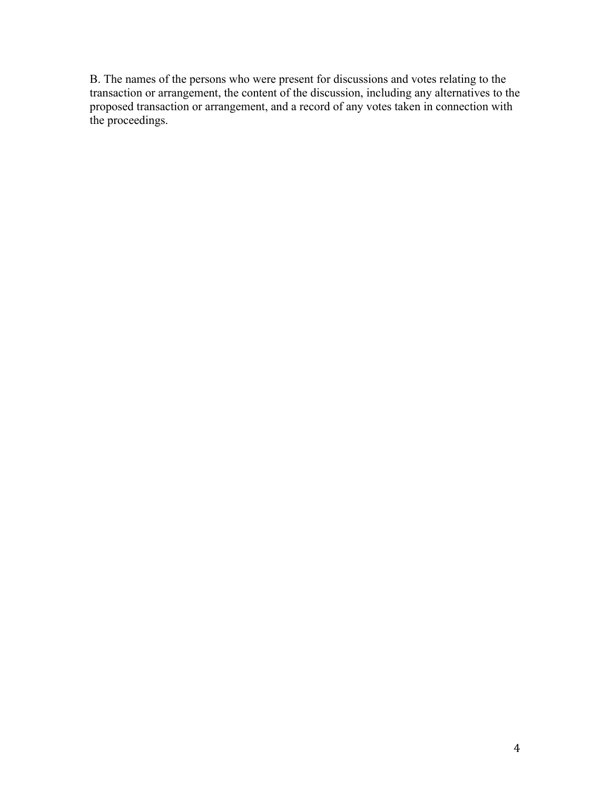B. The names of the persons who were present for discussions and votes relating to the transaction or arrangement, the content of the discussion, including any alternatives to the proposed transaction or arrangement, and a record of any votes taken in connection with the proceedings.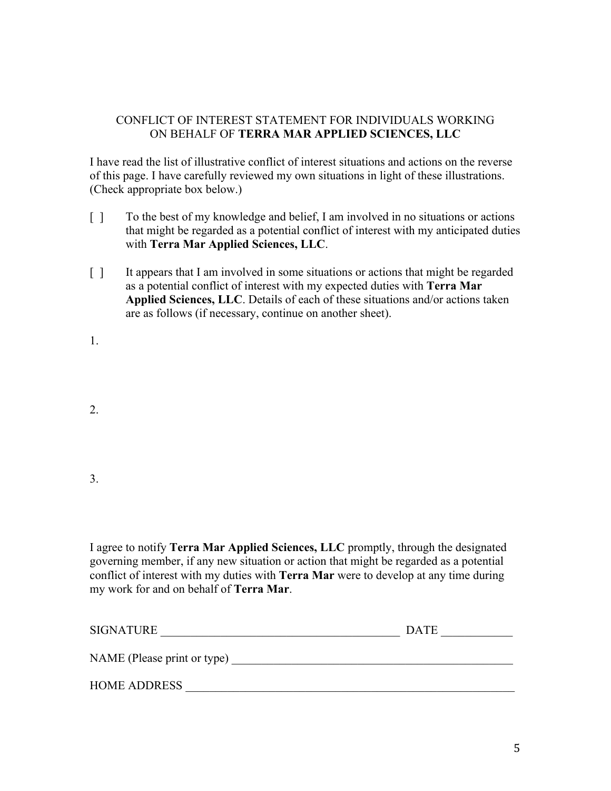### CONFLICT OF INTEREST STATEMENT FOR INDIVIDUALS WORKING ON BEHALF OF **TERRA MAR APPLIED SCIENCES, LLC**

I have read the list of illustrative conflict of interest situations and actions on the reverse of this page. I have carefully reviewed my own situations in light of these illustrations. (Check appropriate box below.)

- [ ] To the best of my knowledge and belief, I am involved in no situations or actions that might be regarded as a potential conflict of interest with my anticipated duties with **Terra Mar Applied Sciences, LLC**.
- [ ] It appears that I am involved in some situations or actions that might be regarded as a potential conflict of interest with my expected duties with **Terra Mar Applied Sciences, LLC**. Details of each of these situations and/or actions taken are as follows (if necessary, continue on another sheet).

1.

2.

3.

I agree to notify **Terra Mar Applied Sciences, LLC** promptly, through the designated governing member, if any new situation or action that might be regarded as a potential conflict of interest with my duties with **Terra Mar** were to develop at any time during my work for and on behalf of **Terra Mar**.

| <b>SIGNATURE</b>            | <b>DATE</b> |
|-----------------------------|-------------|
| NAME (Please print or type) |             |
| <b>HOME ADDRESS</b>         |             |